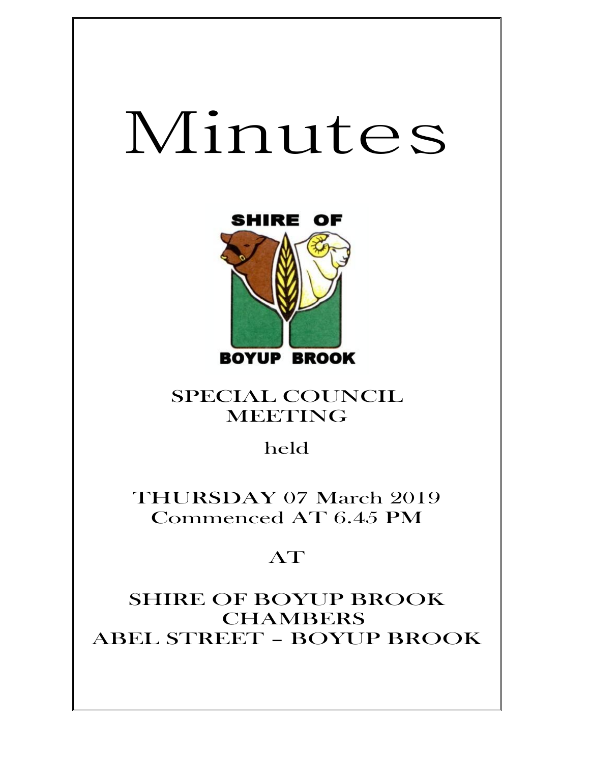# Minutes



SPECIAL COUNCIL MEETING

held

THURSDAY 07 March 2019 Commenced AT 6.45 PM

# AT

SHIRE OF BOYUP BROOK **CHAMBERS** ABEL STREET – BOYUP BROOK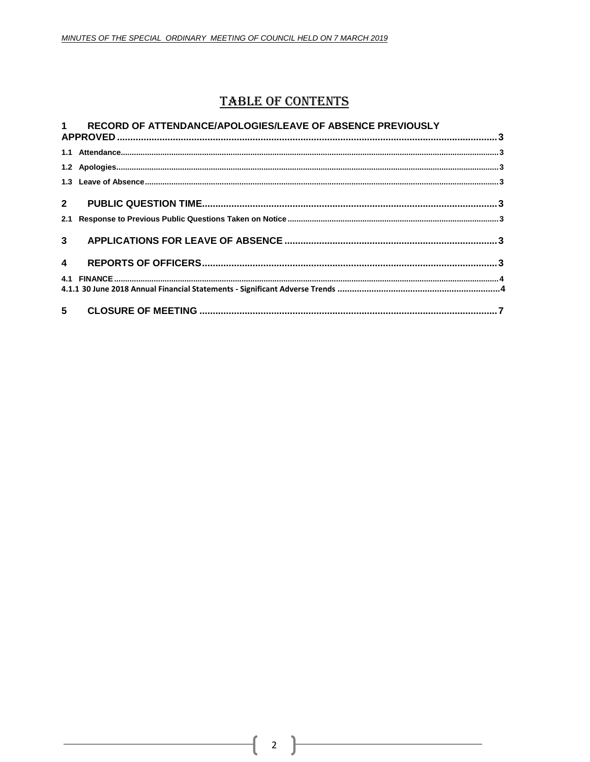$\mathbf 1$ 

# **TABLE OF CONTENTS**

#### RECORD OF ATTENDANCE/APOLOGIES/LEAVE OF ABSENCE PREVIOUSLY

| $\blacktriangle$ |  |  |
|------------------|--|--|
|                  |  |  |
|                  |  |  |
|                  |  |  |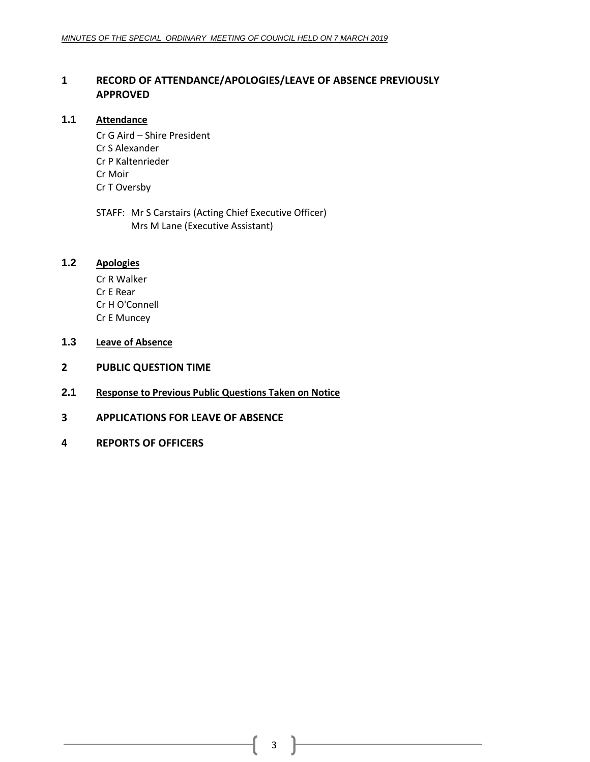# <span id="page-2-0"></span>**1 RECORD OF ATTENDANCE/APOLOGIES/LEAVE OF ABSENCE PREVIOUSLY APPROVED**

### <span id="page-2-1"></span>**1.1 Attendance**

Cr G Aird – Shire President Cr S Alexander Cr P Kaltenrieder Cr Moir Cr T Oversby

STAFF: Mr S Carstairs (Acting Chief Executive Officer) Mrs M Lane (Executive Assistant)

# <span id="page-2-2"></span>**1.2 Apologies**

Cr R Walker Cr E Rear Cr H O'Connell Cr E Muncey

- <span id="page-2-3"></span>**1.3 Leave of Absence**
- <span id="page-2-4"></span>**2 PUBLIC QUESTION TIME**
- <span id="page-2-5"></span>**2.1 Response to Previous Public Questions Taken on Notice**
- <span id="page-2-6"></span>**3 APPLICATIONS FOR LEAVE OF ABSENCE**
- <span id="page-2-7"></span>**4 REPORTS OF OFFICERS**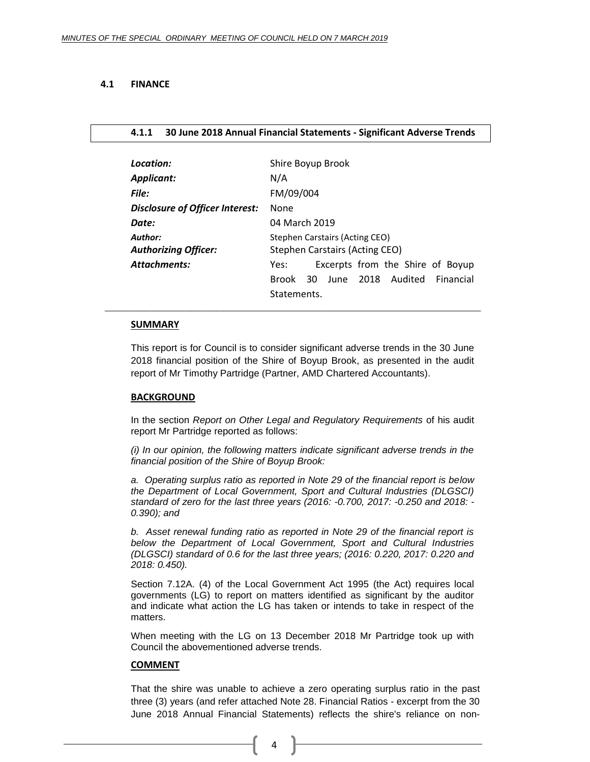#### <span id="page-3-0"></span>**4.1 FINANCE**

#### <span id="page-3-1"></span>**4.1.1 30 June 2018 Annual Financial Statements - Significant Adverse Trends**

| Location:                              | Shire Boyup Brook                                                |
|----------------------------------------|------------------------------------------------------------------|
| <b>Applicant:</b>                      | N/A                                                              |
| File:                                  | FM/09/004                                                        |
| Disclosure of Officer Interest:        | None                                                             |
| Date:                                  | 04 March 2019                                                    |
| Author:<br><b>Authorizing Officer:</b> | Stephen Carstairs (Acting CEO)<br>Stephen Carstairs (Acting CEO) |
| Attachments:                           | Excerpts from the Shire of Boyup<br>Yes:                         |
|                                        | 2018 Audited<br>Financial<br><b>Brook</b><br>30.<br>June         |
|                                        | Statements.                                                      |

#### **SUMMARY**

This report is for Council is to consider significant adverse trends in the 30 June 2018 financial position of the Shire of Boyup Brook, as presented in the audit report of Mr Timothy Partridge (Partner, AMD Chartered Accountants).

 $\Box$ 

#### **BACKGROUND**

In the section *Report on Other Legal and Regulatory Requirements* of his audit report Mr Partridge reported as follows:

*(i) In our opinion, the following matters indicate significant adverse trends in the financial position of the Shire of Boyup Brook:*

*a. Operating surplus ratio as reported in Note 29 of the financial report is below the Department of Local Government, Sport and Cultural Industries (DLGSCI) standard of zero for the last three years (2016: -0.700, 2017: -0.250 and 2018: - 0.390); and*

*b. Asset renewal funding ratio as reported in Note 29 of the financial report is below the Department of Local Government, Sport and Cultural Industries (DLGSCI) standard of 0.6 for the last three years; (2016: 0.220, 2017: 0.220 and 2018: 0.450).*

Section 7.12A. (4) of the Local Government Act 1995 (the Act) requires local governments (LG) to report on matters identified as significant by the auditor and indicate what action the LG has taken or intends to take in respect of the matters.

When meeting with the LG on 13 December 2018 Mr Partridge took up with Council the abovementioned adverse trends.

#### **COMMENT**

That the shire was unable to achieve a zero operating surplus ratio in the past three (3) years (and refer attached Note 28. Financial Ratios - excerpt from the 30 June 2018 Annual Financial Statements) reflects the shire's reliance on non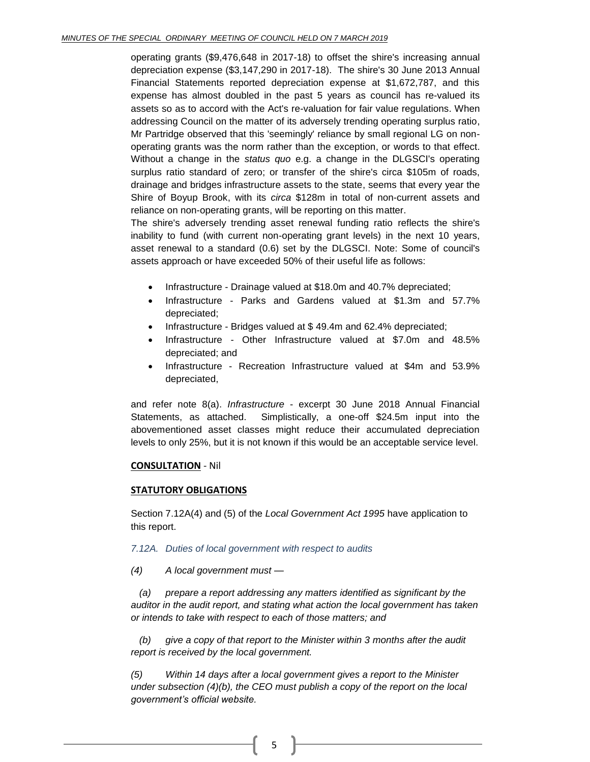operating grants (\$9,476,648 in 2017-18) to offset the shire's increasing annual depreciation expense (\$3,147,290 in 2017-18). The shire's 30 June 2013 Annual Financial Statements reported depreciation expense at \$1,672,787, and this expense has almost doubled in the past 5 years as council has re-valued its assets so as to accord with the Act's re-valuation for fair value regulations. When addressing Council on the matter of its adversely trending operating surplus ratio, Mr Partridge observed that this 'seemingly' reliance by small regional LG on nonoperating grants was the norm rather than the exception, or words to that effect. Without a change in the *status quo* e.g. a change in the DLGSCI's operating surplus ratio standard of zero; or transfer of the shire's circa \$105m of roads, drainage and bridges infrastructure assets to the state, seems that every year the Shire of Boyup Brook, with its *circa* \$128m in total of non-current assets and reliance on non-operating grants, will be reporting on this matter.

The shire's adversely trending asset renewal funding ratio reflects the shire's inability to fund (with current non-operating grant levels) in the next 10 years, asset renewal to a standard (0.6) set by the DLGSCI. Note: Some of council's assets approach or have exceeded 50% of their useful life as follows:

- Infrastructure Drainage valued at \$18.0m and 40.7% depreciated;
- Infrastructure Parks and Gardens valued at \$1.3m and 57.7% depreciated;
- Infrastructure Bridges valued at \$49.4m and 62.4% depreciated;
- Infrastructure Other Infrastructure valued at \$7.0m and 48.5% depreciated; and
- Infrastructure Recreation Infrastructure valued at \$4m and 53.9% depreciated,

and refer note 8(a). *Infrastructure* - excerpt 30 June 2018 Annual Financial Statements, as attached. Simplistically, a one-off \$24.5m input into the abovementioned asset classes might reduce their accumulated depreciation levels to only 25%, but it is not known if this would be an acceptable service level.

#### **CONSULTATION** - Nil

#### **STATUTORY OBLIGATIONS**

Section 7.12A(4) and (5) of the *Local Government Act 1995* have application to this report.

#### *7.12A. Duties of local government with respect to audits*

#### *(4) A local government must —*

*(a) prepare a report addressing any matters identified as significant by the auditor in the audit report, and stating what action the local government has taken or intends to take with respect to each of those matters; and* 

*(b) give a copy of that report to the Minister within 3 months after the audit report is received by the local government.* 

*(5) Within 14 days after a local government gives a report to the Minister under subsection (4)(b), the CEO must publish a copy of the report on the local government's official website.*